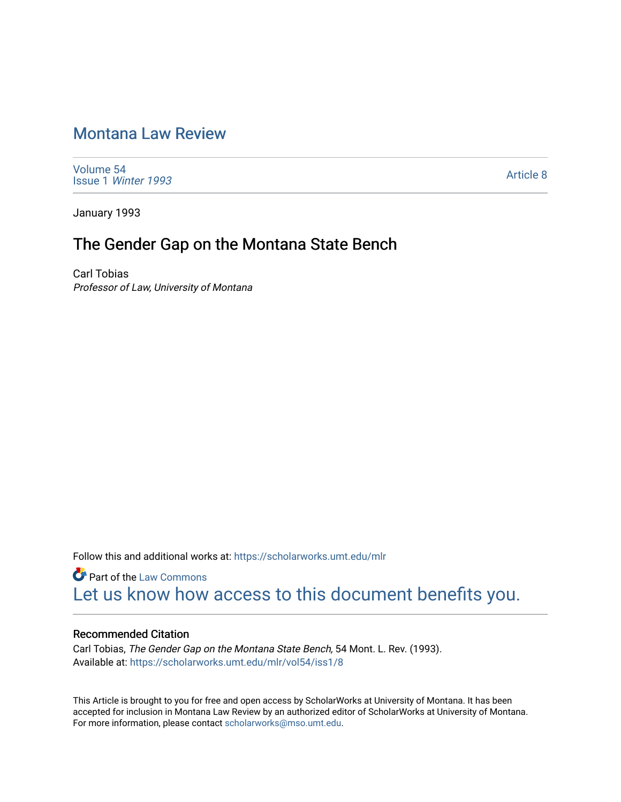# [Montana Law Review](https://scholarworks.umt.edu/mlr)

[Volume 54](https://scholarworks.umt.edu/mlr/vol54) Issue 1 [Winter 1993](https://scholarworks.umt.edu/mlr/vol54/iss1) 

[Article 8](https://scholarworks.umt.edu/mlr/vol54/iss1/8) 

January 1993

## The Gender Gap on the Montana State Bench

Carl Tobias Professor of Law, University of Montana

Follow this and additional works at: [https://scholarworks.umt.edu/mlr](https://scholarworks.umt.edu/mlr?utm_source=scholarworks.umt.edu%2Fmlr%2Fvol54%2Fiss1%2F8&utm_medium=PDF&utm_campaign=PDFCoverPages) 

**Part of the [Law Commons](http://network.bepress.com/hgg/discipline/578?utm_source=scholarworks.umt.edu%2Fmlr%2Fvol54%2Fiss1%2F8&utm_medium=PDF&utm_campaign=PDFCoverPages)** [Let us know how access to this document benefits you.](https://goo.gl/forms/s2rGfXOLzz71qgsB2) 

#### Recommended Citation

Carl Tobias, The Gender Gap on the Montana State Bench, 54 Mont. L. Rev. (1993). Available at: [https://scholarworks.umt.edu/mlr/vol54/iss1/8](https://scholarworks.umt.edu/mlr/vol54/iss1/8?utm_source=scholarworks.umt.edu%2Fmlr%2Fvol54%2Fiss1%2F8&utm_medium=PDF&utm_campaign=PDFCoverPages) 

This Article is brought to you for free and open access by ScholarWorks at University of Montana. It has been accepted for inclusion in Montana Law Review by an authorized editor of ScholarWorks at University of Montana. For more information, please contact [scholarworks@mso.umt.edu.](mailto:scholarworks@mso.umt.edu)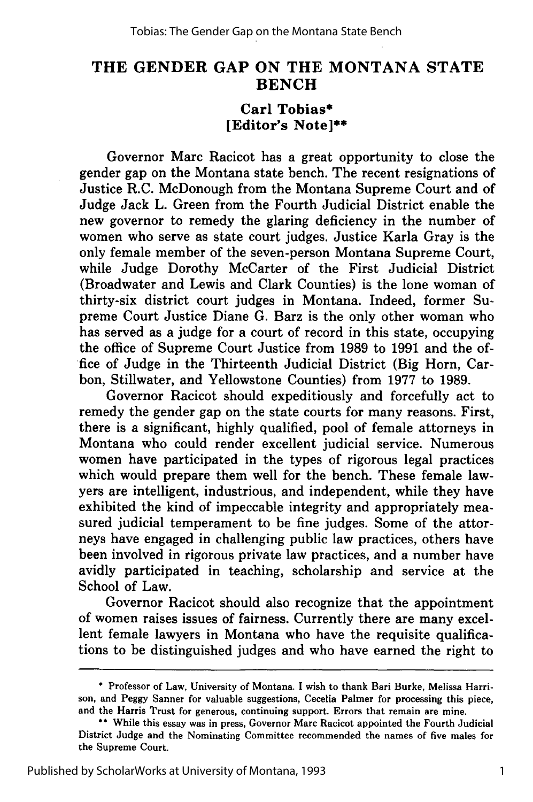### **THE GENDER GAP ON THE MONTANA STATE BENCH**

#### **Carl Tobias\* [Editor's Note]\*\***

Governor Marc Racicot has a great opportunity to close the gender gap on the Montana state bench. The recent resignations of Justice R.C. McDonough from the Montana Supreme Court and of Judge Jack L. Green from the Fourth Judicial District enable the new governor to remedy the glaring deficiency in the number of women who serve as state court judges. Justice Karla Gray is the only female member of the seven-person Montana Supreme Court, while Judge Dorothy McCarter of the First Judicial District (Broadwater and Lewis and Clark Counties) is the lone woman of thirty-six district court judges in Montana. Indeed, former Supreme Court Justice Diane **G.** Barz is the only other woman who has served as a judge for a court of record in this state, occupying the office of Supreme Court Justice from **1989** to **1991** and the office of Judge in the Thirteenth Judicial District (Big Horn, Carbon, Stillwater, and Yellowstone Counties) from **1977** to **1989.**

Governor Racicot should expeditiously and forcefully act to remedy the gender gap on the state courts for many reasons. First, there is a significant, **highly** qualified, pool of female attorneys in Montana who could render excellent judicial service. Numerous women have participated in the types of rigorous legal practices which would prepare them well for the bench. These female lawyers are intelligent, industrious, and independent, while they have exhibited the kind of impeccable integrity and appropriately measured judicial temperament to be fine judges. Some of the attorneys have engaged in challenging public law practices, others have been involved in rigorous private law practices, and a number have avidly participated in teaching, scholarship and service at the School of Law.

Governor Racicot should also recognize that the appointment of women raises issues of fairness. Currently there are many excellent female lawyers in Montana who have the requisite qualifications to be distinguished judges and who have earned the right to

<sup>\*</sup> Professor of Law, University of Montana. I wish to thank Bari Burke, Melissa Harrison, and Peggy Sanner for valuable suggestions, Cecelia Palmer for processing this piece, and the Harris Trust for generous, continuing support. Errors that remain are mine.

<sup>\*\*</sup> While this essay was in press, Governor Marc Racicot appointed the Fourth Judicial District Judge and the Nominating Committee recommended the names of five males for the Supreme Court.